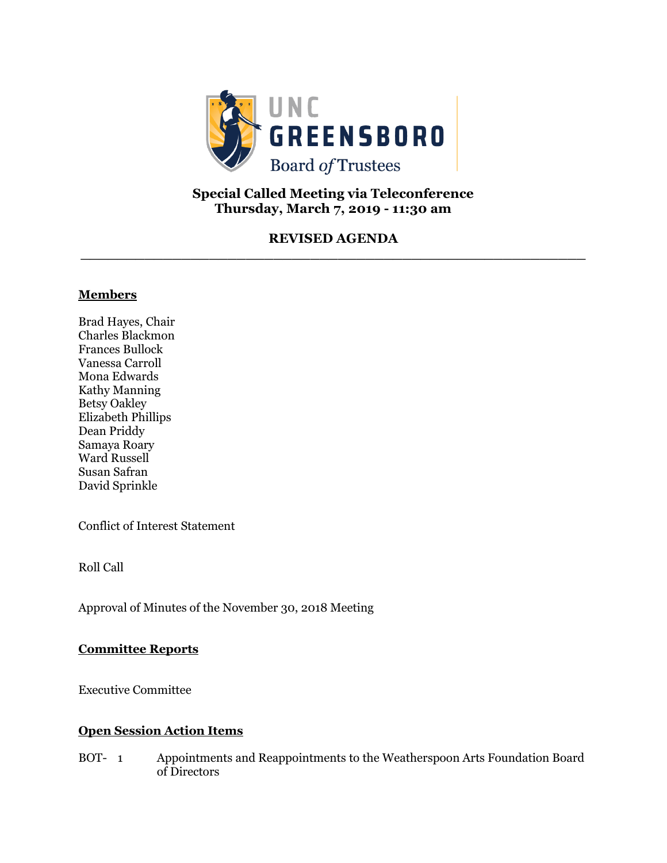

# **Special Called Meeting via Teleconference Thursday, March 7, 2019 - 11:30 am**

## **REVISED AGENDA \_\_\_\_\_\_\_\_\_\_\_\_\_\_\_\_\_\_\_\_\_\_\_\_\_\_\_\_\_\_\_\_\_\_\_\_\_\_\_\_\_\_\_\_\_\_\_\_\_\_\_\_\_\_\_**

#### **Members**

Brad Hayes, Chair Charles Blackmon Frances Bullock Vanessa Carroll Mona Edwards Kathy Manning Betsy Oakley Elizabeth Phillips Dean Priddy Samaya Roary Ward Russell Susan Safran David Sprinkle

Conflict of Interest Statement

Roll Call

Approval of Minutes of the November 30, 2018 Meeting

#### **Committee Reports**

Executive Committee

#### **Open Session Action Items**

BOT- 1 Appointments and Reappointments to the Weatherspoon Arts Foundation Board of Directors